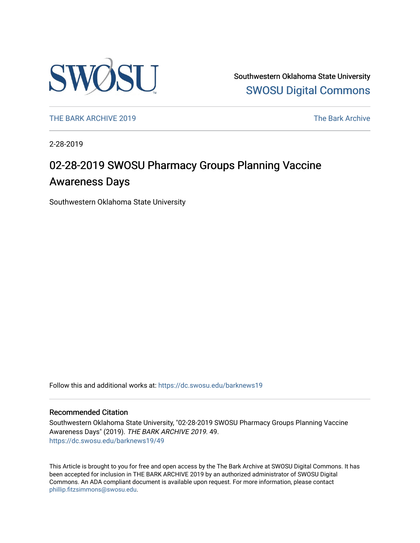

Southwestern Oklahoma State University [SWOSU Digital Commons](https://dc.swosu.edu/) 

[THE BARK ARCHIVE 2019](https://dc.swosu.edu/barknews19) The Bark Archive

2-28-2019

### 02-28-2019 SWOSU Pharmacy Groups Planning Vaccine Awareness Days

Southwestern Oklahoma State University

Follow this and additional works at: [https://dc.swosu.edu/barknews19](https://dc.swosu.edu/barknews19?utm_source=dc.swosu.edu%2Fbarknews19%2F49&utm_medium=PDF&utm_campaign=PDFCoverPages)

#### Recommended Citation

Southwestern Oklahoma State University, "02-28-2019 SWOSU Pharmacy Groups Planning Vaccine Awareness Days" (2019). THE BARK ARCHIVE 2019. 49. [https://dc.swosu.edu/barknews19/49](https://dc.swosu.edu/barknews19/49?utm_source=dc.swosu.edu%2Fbarknews19%2F49&utm_medium=PDF&utm_campaign=PDFCoverPages) 

This Article is brought to you for free and open access by the The Bark Archive at SWOSU Digital Commons. It has been accepted for inclusion in THE BARK ARCHIVE 2019 by an authorized administrator of SWOSU Digital Commons. An ADA compliant document is available upon request. For more information, please contact [phillip.fitzsimmons@swosu.edu](mailto:phillip.fitzsimmons@swosu.edu).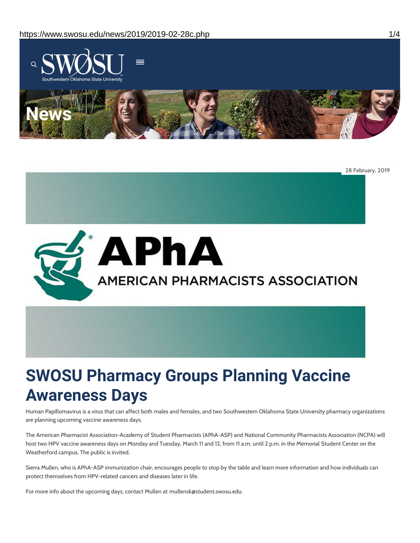

28 February, 2019



# **SWOSU Pharmacy Groups Planning Vaccine Awareness Days**

Human Papillomavirus is a virus that can affect both males and females, and two Southwestern Oklahoma State University pharmacy organizations are planning upcoming vaccine awareness days.

The American Pharmacist Association-Academy of Student Pharmacists (APhA-ASP) and National Community Pharmacists Association (NCPA) will host two HPV vaccine awareness days on Monday and Tuesday, March 11 and 12, from 11 a.m. until 2 p.m. in the Memorial Student Center on the Weatherford campus. The public is invited.

Sierra Mullen, who is APhA-ASP immunization chair, encourages people to stop by the table and learn more information and how individuals can protect themselves from HPV-related cancers and diseases later in life.

For more info about the upcoming days, contact Mullen at mullensk@student.swosu.edu.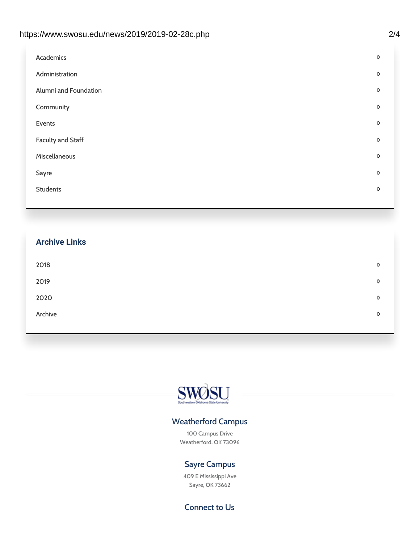| D |
|---|
| D |
| D |
| D |
| D |
| D |
| D |
| D |
| D |
|   |

## **Archive Links**  $2018$  $2019$ [2020](https://www.swosu.edu/news/2020/index.php)  $\bullet$ [Archive](https://dc.swosu.edu/bark/) **Archive Archive Archive Archive Archive** Archive Archive Archive Archive Archive Archive Archive Archive



### Weatherford Campus

100 Campus Drive Weatherford, OK 73096

### Sayre Campus

409 E Mississippi Ave Sayre, OK 73662

Connect to Us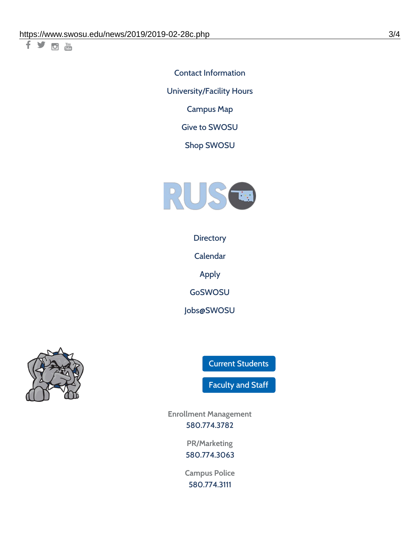千岁回调

Contact [Information](https://www.swosu.edu/about/contact.php) [University/Facility](https://www.swosu.edu/about/operating-hours.php) Hours [Campus](https://map.concept3d.com/?id=768#!ct/10964,10214,10213,10212,10205,10204,10203,10202,10136,10129,10128,0,31226,10130,10201,10641,0) Map

Give to [SWOSU](https://standingfirmly.com/donate)

Shop [SWOSU](https://shopswosu.merchorders.com/)



**[Directory](https://www.swosu.edu/directory/index.php)** 

[Calendar](https://eventpublisher.dudesolutions.com/swosu/)

[Apply](https://www.swosu.edu/admissions/apply-to-swosu.php)

[GoSWOSU](https://qlsso.quicklaunchsso.com/home/1267)

[Jobs@SWOSU](https://swosu.csod.com/ux/ats/careersite/1/home?c=swosu)



Current [Students](https://bulldog.swosu.edu/index.php)

[Faculty](https://bulldog.swosu.edu/faculty-staff/index.php) and Staff

**Enrollment Management** [580.774.3782](tel:5807743782)

> **PR/Marketing** [580.774.3063](tel:5807743063)

**Campus Police** [580.774.3111](tel:5807743111)